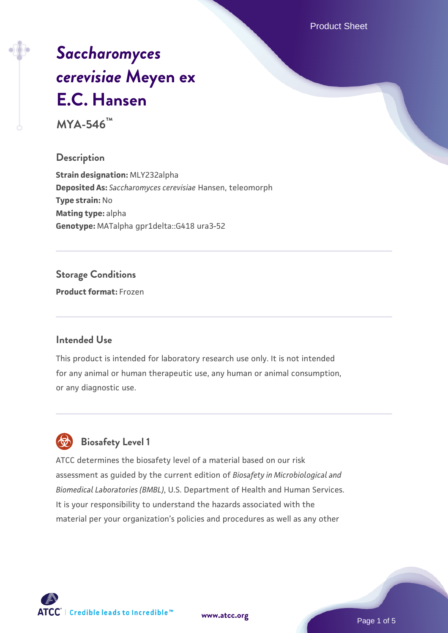Product Sheet

# *[Saccharomyces](https://www.atcc.org/products/mya-546) [cerevisiae](https://www.atcc.org/products/mya-546)* **[Meyen ex](https://www.atcc.org/products/mya-546) [E.C. Hansen](https://www.atcc.org/products/mya-546)**

**MYA-546™**

#### **Description**

**Strain designation:** MLY232alpha **Deposited As:** *Saccharomyces cerevisiae* Hansen, teleomorph **Type strain:** No **Mating type:** alpha **Genotype:** MATalpha gpr1delta::G418 ura3-52

#### **Storage Conditions**

**Product format:** Frozen

#### **Intended Use**

This product is intended for laboratory research use only. It is not intended for any animal or human therapeutic use, any human or animal consumption, or any diagnostic use.



### **Biosafety Level 1**

ATCC determines the biosafety level of a material based on our risk assessment as guided by the current edition of *Biosafety in Microbiological and Biomedical Laboratories (BMBL)*, U.S. Department of Health and Human Services. It is your responsibility to understand the hazards associated with the material per your organization's policies and procedures as well as any other

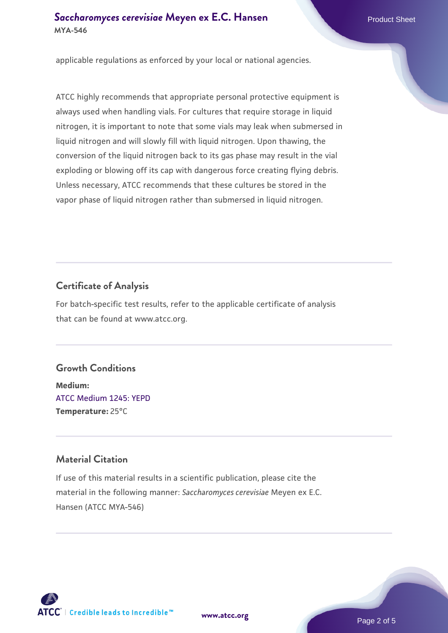#### **[Saccharomyces cerevisiae](https://www.atcc.org/products/mya-546)** [Meyen ex E.C. Hansen](https://www.atcc.org/products/mya-546) **MYA-546**

applicable regulations as enforced by your local or national agencies.

ATCC highly recommends that appropriate personal protective equipment is always used when handling vials. For cultures that require storage in liquid nitrogen, it is important to note that some vials may leak when submersed in liquid nitrogen and will slowly fill with liquid nitrogen. Upon thawing, the conversion of the liquid nitrogen back to its gas phase may result in the vial exploding or blowing off its cap with dangerous force creating flying debris. Unless necessary, ATCC recommends that these cultures be stored in the vapor phase of liquid nitrogen rather than submersed in liquid nitrogen.

#### **Certificate of Analysis**

For batch-specific test results, refer to the applicable certificate of analysis that can be found at www.atcc.org.

#### **Growth Conditions**

**Medium:**  [ATCC Medium 1245: YEPD](https://www.atcc.org/-/media/product-assets/documents/microbial-media-formulations/1/2/4/5/atcc-medium-1245.pdf?rev=705ca55d1b6f490a808a965d5c072196) **Temperature:** 25°C

#### **Material Citation**

If use of this material results in a scientific publication, please cite the material in the following manner: *Saccharomyces cerevisiae* Meyen ex E.C. Hansen (ATCC MYA-546)



**[www.atcc.org](http://www.atcc.org)**

Page 2 of 5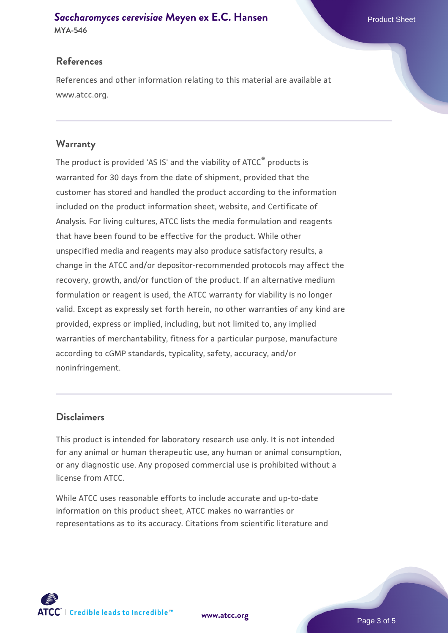#### **[Saccharomyces cerevisiae](https://www.atcc.org/products/mya-546)** [Meyen ex E.C. Hansen](https://www.atcc.org/products/mya-546) **MYA-546**

#### **References**

References and other information relating to this material are available at www.atcc.org.

#### **Warranty**

The product is provided 'AS IS' and the viability of ATCC® products is warranted for 30 days from the date of shipment, provided that the customer has stored and handled the product according to the information included on the product information sheet, website, and Certificate of Analysis. For living cultures, ATCC lists the media formulation and reagents that have been found to be effective for the product. While other unspecified media and reagents may also produce satisfactory results, a change in the ATCC and/or depositor-recommended protocols may affect the recovery, growth, and/or function of the product. If an alternative medium formulation or reagent is used, the ATCC warranty for viability is no longer valid. Except as expressly set forth herein, no other warranties of any kind are provided, express or implied, including, but not limited to, any implied warranties of merchantability, fitness for a particular purpose, manufacture according to cGMP standards, typicality, safety, accuracy, and/or noninfringement.

#### **Disclaimers**

This product is intended for laboratory research use only. It is not intended for any animal or human therapeutic use, any human or animal consumption, or any diagnostic use. Any proposed commercial use is prohibited without a license from ATCC.

While ATCC uses reasonable efforts to include accurate and up-to-date information on this product sheet, ATCC makes no warranties or representations as to its accuracy. Citations from scientific literature and

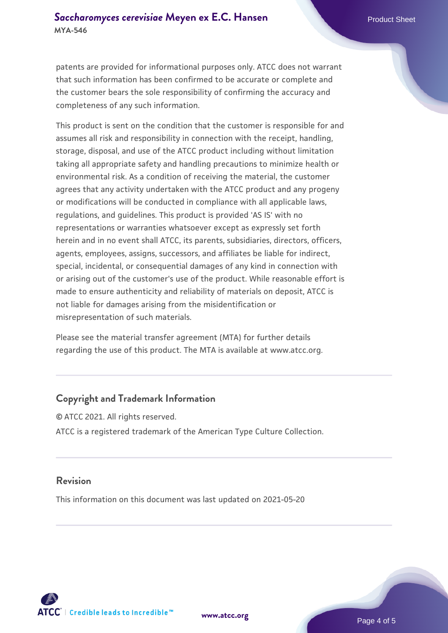#### **[Saccharomyces cerevisiae](https://www.atcc.org/products/mya-546)** [Meyen ex E.C. Hansen](https://www.atcc.org/products/mya-546) **MYA-546**

patents are provided for informational purposes only. ATCC does not warrant that such information has been confirmed to be accurate or complete and the customer bears the sole responsibility of confirming the accuracy and completeness of any such information.

This product is sent on the condition that the customer is responsible for and assumes all risk and responsibility in connection with the receipt, handling, storage, disposal, and use of the ATCC product including without limitation taking all appropriate safety and handling precautions to minimize health or environmental risk. As a condition of receiving the material, the customer agrees that any activity undertaken with the ATCC product and any progeny or modifications will be conducted in compliance with all applicable laws, regulations, and guidelines. This product is provided 'AS IS' with no representations or warranties whatsoever except as expressly set forth herein and in no event shall ATCC, its parents, subsidiaries, directors, officers, agents, employees, assigns, successors, and affiliates be liable for indirect, special, incidental, or consequential damages of any kind in connection with or arising out of the customer's use of the product. While reasonable effort is made to ensure authenticity and reliability of materials on deposit, ATCC is not liable for damages arising from the misidentification or misrepresentation of such materials.

Please see the material transfer agreement (MTA) for further details regarding the use of this product. The MTA is available at www.atcc.org.

#### **Copyright and Trademark Information**

© ATCC 2021. All rights reserved. ATCC is a registered trademark of the American Type Culture Collection.

#### **Revision**

This information on this document was last updated on 2021-05-20



**[www.atcc.org](http://www.atcc.org)**

Page 4 of 5